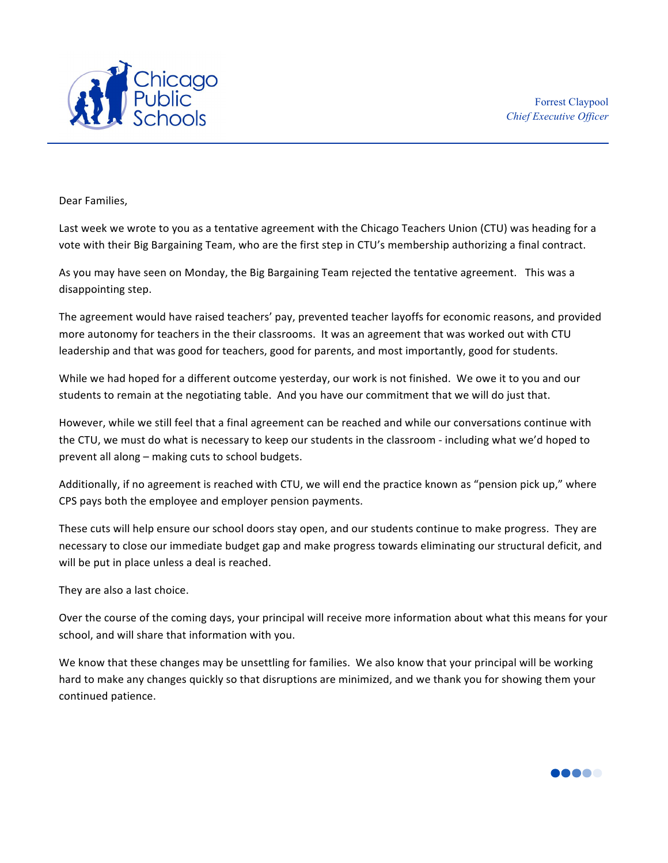

Dear Families.

Last week we wrote to you as a tentative agreement with the Chicago Teachers Union (CTU) was heading for a vote with their Big Bargaining Team, who are the first step in CTU's membership authorizing a final contract.

As you may have seen on Monday, the Big Bargaining Team rejected the tentative agreement. This was a disappointing step.

The agreement would have raised teachers' pay, prevented teacher layoffs for economic reasons, and provided more autonomy for teachers in the their classrooms. It was an agreement that was worked out with CTU leadership and that was good for teachers, good for parents, and most importantly, good for students.

While we had hoped for a different outcome yesterday, our work is not finished. We owe it to you and our students to remain at the negotiating table. And you have our commitment that we will do just that.

However, while we still feel that a final agreement can be reached and while our conversations continue with the CTU, we must do what is necessary to keep our students in the classroom - including what we'd hoped to prevent all along  $-$  making cuts to school budgets.

Additionally, if no agreement is reached with CTU, we will end the practice known as "pension pick up," where CPS pays both the employee and employer pension payments.

These cuts will help ensure our school doors stay open, and our students continue to make progress. They are necessary to close our immediate budget gap and make progress towards eliminating our structural deficit, and will be put in place unless a deal is reached.

They are also a last choice.

Over the course of the coming days, your principal will receive more information about what this means for your school, and will share that information with you.

We know that these changes may be unsettling for families. We also know that your principal will be working hard to make any changes quickly so that disruptions are minimized, and we thank you for showing them your continued patience.